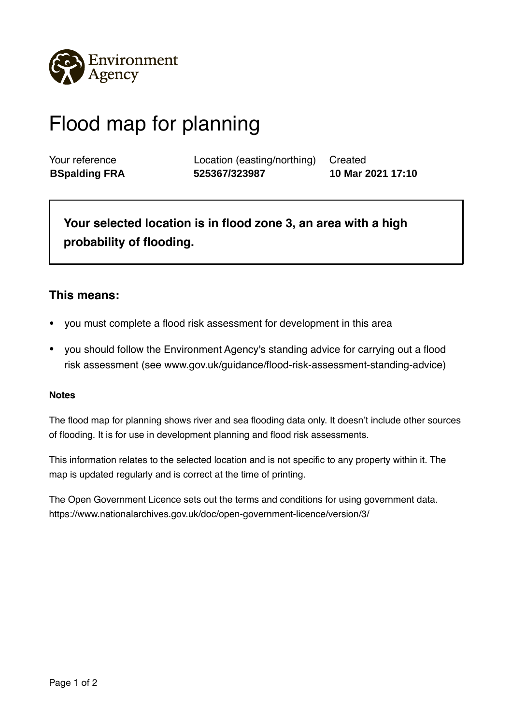

## Flood map for planning

Your reference Location (easting/northing) Created **BSpalding FRA 525367/323987 10 Mar 2021 17:10**

**Your selected location is in flood zone 3, an area with a high probability of flooding.** 

## **This means:**

- you must complete a flood risk assessment for development in this area
- you should follow the Environment Agency's standing advice for carrying out a flood risk assessment (see www.gov.uk/guidance/flood-risk-assessment-standing-advice)

## **Notes**

The flood map for planning shows river and sea flooding data only. It doesn't include other sources of flooding. It is for use in development planning and flood risk assessments.

This information relates to the selected location and is not specific to any property within it. The map is updated regularly and is correct at the time of printing.

The Open Government Licence sets out the terms and conditions for using government data. https://www.nationalarchives.gov.uk/doc/open-government-licence/version/3/